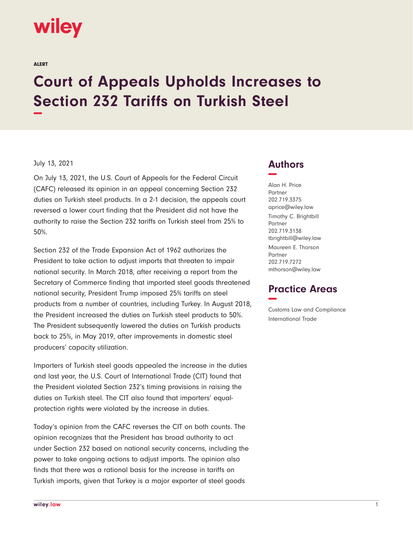# wiley

ALERT

# **Court of Appeals Upholds Increases to Section 232 Tariffs on Turkish Steel −**

#### July 13, 2021

On July 13, 2021, the U.S. Court of Appeals for the Federal Circuit (CAFC) released its opinion in an appeal concerning Section 232 duties on Turkish steel products. In a 2-1 decision, the appeals court reversed a lower court finding that the President did not have the authority to raise the Section 232 tariffs on Turkish steel from 25% to 50%.

Section 232 of the Trade Expansion Act of 1962 authorizes the President to take action to adjust imports that threaten to impair national security. In March 2018, after receiving a report from the Secretary of Commerce finding that imported steel goods threatened national security, President Trump imposed 25% tariffs on steel products from a number of countries, including Turkey. In August 2018, the President increased the duties on Turkish steel products to 50%. The President subsequently lowered the duties on Turkish products back to 25%, in May 2019, after improvements in domestic steel producers' capacity utilization.

Importers of Turkish steel goods appealed the increase in the duties and last year, the U.S. Court of International Trade (CIT) found that the President violated Section 232's timing provisions in raising the duties on Turkish steel. The CIT also found that importers' equalprotection rights were violated by the increase in duties.

Today's opinion from the CAFC reverses the CIT on both counts. The opinion recognizes that the President has broad authority to act under Section 232 based on national security concerns, including the power to take ongoing actions to adjust imports. The opinion also finds that there was a rational basis for the increase in tariffs on Turkish imports, given that Turkey is a major exporter of steel goods

### **Authors −**

Alan H. Price Partner 202.719.3375 aprice@wiley.law Timothy C. Brightbill Partner 202.719.3138 tbrightbill@wiley.law Maureen E. Thorson Partner 202.719.7272 mthorson@wiley.law

## **Practice Areas −**

Customs Law and Compliance International Trade